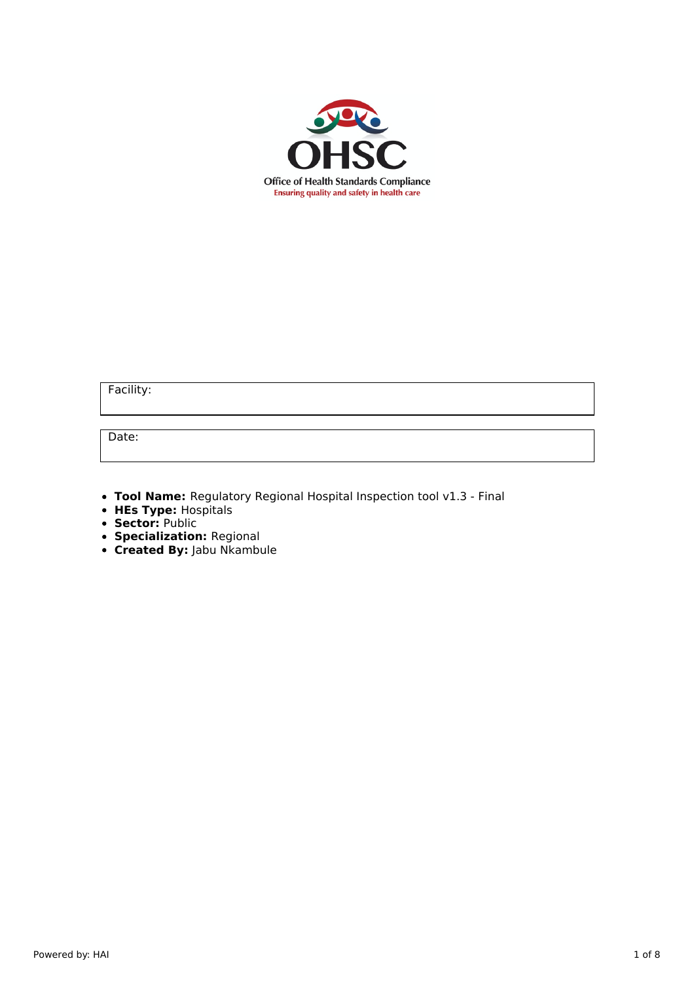

Facility:

Date:

- **Tool Name:** Regulatory Regional Hospital Inspection tool v1.3 Final
- **HEs Type:** Hospitals
- **Sector:** Public
- **Specialization:** Regional
- **Created By:** Jabu Nkambule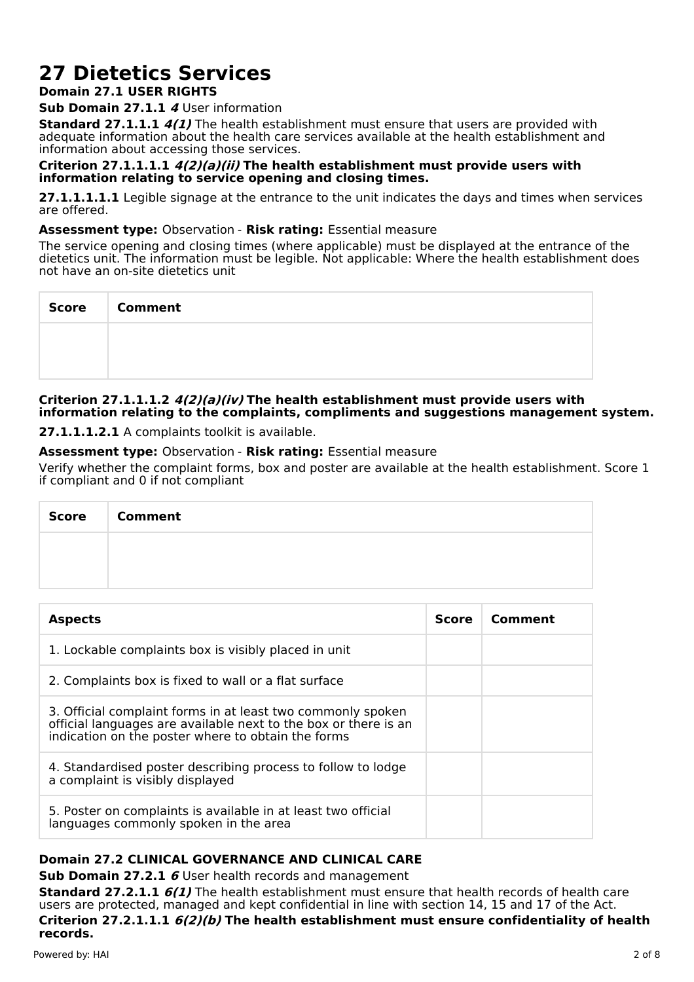# **27 Dietetics Services**

# **Domain 27.1 USER RIGHTS**

### **Sub Domain 27.1.1 4** User information

**Standard 27.1.1.1 4(1)** The health establishment must ensure that users are provided with adequate information about the health care services available at the health establishment and information about accessing those services.

#### **Criterion 27.1.1.1.1 4(2)(a)(ii) The health establishment must provide users with information relating to service opening and closing times.**

**27.1.1.1.1.1** Legible signage at the entrance to the unit indicates the days and times when services are offered.

### **Assessment type:** Observation - **Risk rating:** Essential measure

The service opening and closing times (where applicable) must be displayed at the entrance of the dietetics unit. The information must be legible. Not applicable: Where the health establishment does not have an on-site dietetics unit

| Score   Comment |
|-----------------|
|                 |
|                 |

# **Criterion 27.1.1.1.2 4(2)(a)(iv) The health establishment must provide users with information relating to the complaints, compliments and suggestions management system.**

**27.1.1.1.2.1** A complaints toolkit is available.

# **Assessment type:** Observation - **Risk rating:** Essential measure

Verify whether the complaint forms, box and poster are available at the health establishment. Score 1 if compliant and 0 if not compliant

| Score | <b>Comment</b> |
|-------|----------------|
|       |                |
|       |                |

| <b>Aspects</b>                                                                                                                                                                       | <b>Score</b> | Comment |
|--------------------------------------------------------------------------------------------------------------------------------------------------------------------------------------|--------------|---------|
| 1. Lockable complaints box is visibly placed in unit                                                                                                                                 |              |         |
| 2. Complaints box is fixed to wall or a flat surface                                                                                                                                 |              |         |
| 3. Official complaint forms in at least two commonly spoken<br>official languages are available next to the box or there is an<br>indication on the poster where to obtain the forms |              |         |
| 4. Standardised poster describing process to follow to lodge<br>a complaint is visibly displayed                                                                                     |              |         |
| 5. Poster on complaints is available in at least two official<br>languages commonly spoken in the area                                                                               |              |         |

# **Domain 27.2 CLINICAL GOVERNANCE AND CLINICAL CARE**

**Sub Domain 27.2.1 6** User health records and management

**Standard 27.2.1.1 6(1)** The health establishment must ensure that health records of health care users are protected, managed and kept confidential in line with section 14, 15 and 17 of the Act. **Criterion 27.2.1.1.1 6(2)(b) The health establishment must ensure confidentiality of health**

**records.**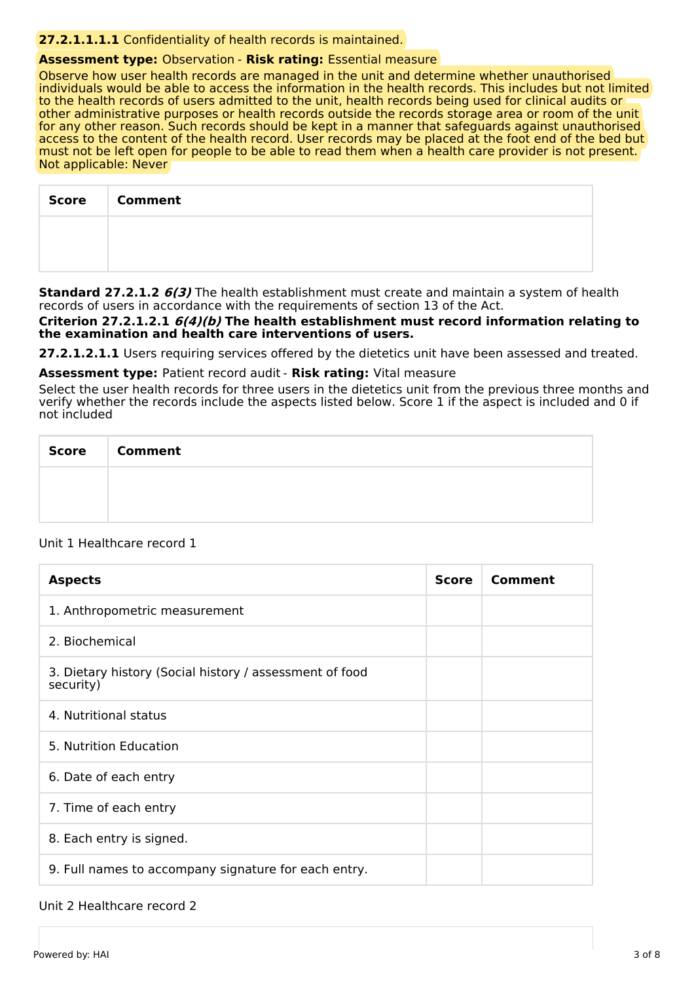# **27.2.1.1.1.1** Confidentiality of health records is maintained.

# **Assessment type:** Observation - **Risk rating:** Essential measure

Observe how user health records are managed in the unit and determine whether unauthorised individuals would be able to access the information in the health records. This includes but not limited to the health records of users admitted to the unit, health records being used for clinical audits or other administrative purposes or health records outside the records storage area or room of the unit for any other reason. Such records should be kept in a manner that safeguards against unauthorised access to the content of the health record. User records may be placed at the foot end of the bed but must not be left open for people to be able to read them when a health care provider is not present. Not applicable: Never

| <b>Score</b> | <b>Comment</b> |
|--------------|----------------|
|              |                |
|              |                |

**Standard 27.2.1.2 6(3)** The health establishment must create and maintain a system of health records of users in accordance with the requirements of section 13 of the Act.

**Criterion 27.2.1.2.1 6(4)(b) The health establishment must record information relating to the examination and health care interventions of users.**

**27.2.1.2.1.1** Users requiring services offered by the dietetics unit have been assessed and treated.

**Assessment type:** Patient record audit - **Risk rating:** Vital measure

Select the user health records for three users in the dietetics unit from the previous three months and verify whether the records include the aspects listed below. Score 1 if the aspect is included and 0 if not included

| <b>Score</b> | <b>Comment</b> |
|--------------|----------------|
|              |                |
|              |                |

#### Unit 1 Healthcare record 1

| <b>Aspects</b>                                                       | <b>Score</b> | Comment |
|----------------------------------------------------------------------|--------------|---------|
| 1. Anthropometric measurement                                        |              |         |
| 2. Biochemical                                                       |              |         |
| 3. Dietary history (Social history / assessment of food<br>security) |              |         |
| 4. Nutritional status                                                |              |         |
| 5. Nutrition Education                                               |              |         |
| 6. Date of each entry                                                |              |         |
| 7. Time of each entry                                                |              |         |
| 8. Each entry is signed.                                             |              |         |
| 9. Full names to accompany signature for each entry.                 |              |         |

#### Unit 2 Healthcare record 2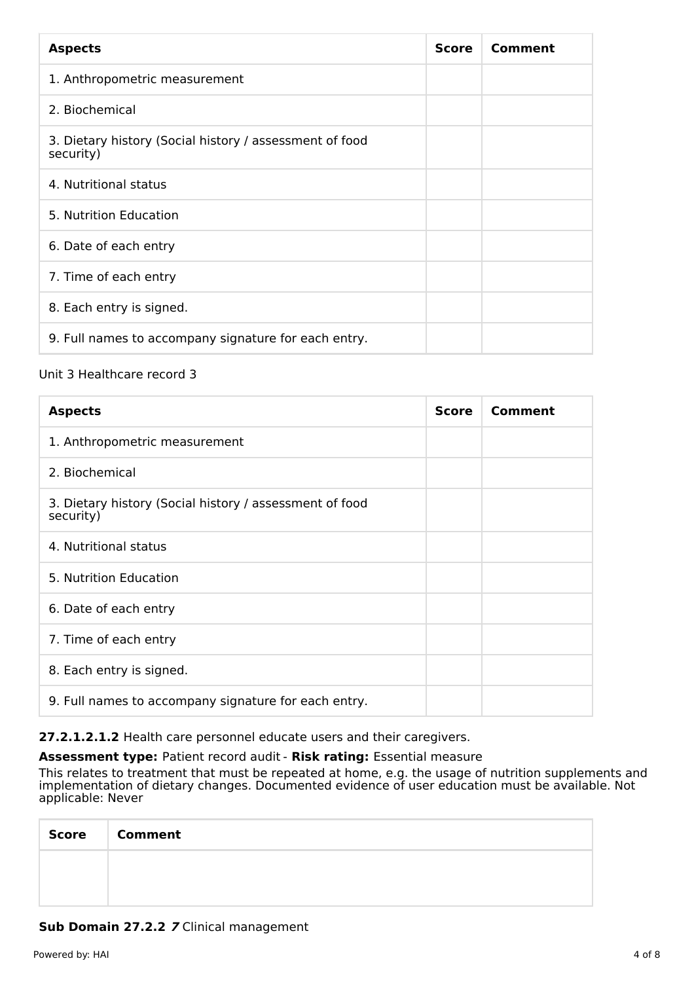| <b>Aspects</b>                                                       | <b>Score</b> | Comment |
|----------------------------------------------------------------------|--------------|---------|
| 1. Anthropometric measurement                                        |              |         |
| 2. Biochemical                                                       |              |         |
| 3. Dietary history (Social history / assessment of food<br>security) |              |         |
| 4. Nutritional status                                                |              |         |
| 5. Nutrition Education                                               |              |         |
| 6. Date of each entry                                                |              |         |
| 7. Time of each entry                                                |              |         |
| 8. Each entry is signed.                                             |              |         |
| 9. Full names to accompany signature for each entry.                 |              |         |

# Unit 3 Healthcare record 3

| <b>Aspects</b>                                                       | <b>Score</b> | Comment |
|----------------------------------------------------------------------|--------------|---------|
| 1. Anthropometric measurement                                        |              |         |
| 2. Biochemical                                                       |              |         |
| 3. Dietary history (Social history / assessment of food<br>security) |              |         |
| 4. Nutritional status                                                |              |         |
| 5. Nutrition Education                                               |              |         |
| 6. Date of each entry                                                |              |         |
| 7. Time of each entry                                                |              |         |
| 8. Each entry is signed.                                             |              |         |
| 9. Full names to accompany signature for each entry.                 |              |         |

**27.2.1.2.1.2** Health care personnel educate users and their caregivers.

**Assessment type:** Patient record audit - **Risk rating:** Essential measure

This relates to treatment that must be repeated at home, e.g. the usage of nutrition supplements and implementation of dietary changes. Documented evidence of user education must be available. Not applicable: Never

| <b>Score</b> | <b>Comment</b> |
|--------------|----------------|
|              |                |
|              |                |

# **Sub Domain 27.2.2 7** Clinical management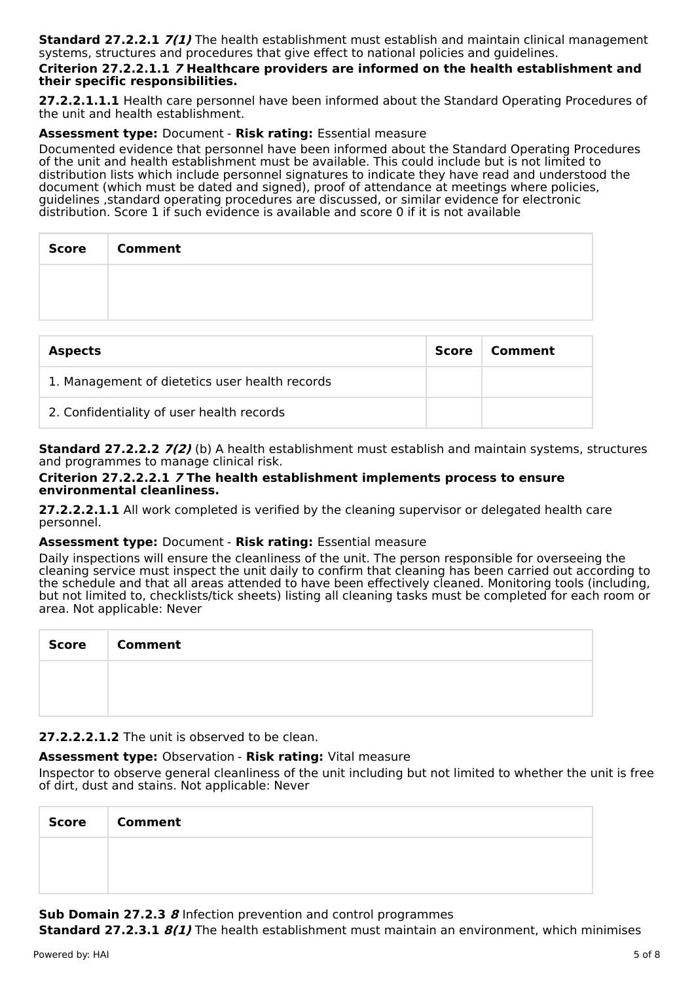**Standard 27.2.2.1 7(1)** The health establishment must establish and maintain clinical management systems, structures and procedures that give effect to national policies and guidelines.

#### **Criterion 27.2.2.1.1 7 Healthcare providers are informed on the health establishment and their specific responsibilities.**

**27.2.2.1.1.1** Health care personnel have been informed about the Standard Operating Procedures of the unit and health establishment.

# **Assessment type:** Document - **Risk rating:** Essential measure

Documented evidence that personnel have been informed about the Standard Operating Procedures of the unit and health establishment must be available. This could include but is not limited to distribution lists which include personnel signatures to indicate they have read and understood the document (which must be dated and signed), proof of attendance at meetings where policies, guidelines ,standard operating procedures are discussed, or similar evidence for electronic distribution. Score 1 if such evidence is available and score 0 if it is not available

| <b>Score</b> | <b>Comment</b> |
|--------------|----------------|
|              |                |
|              |                |

| <b>Aspects</b>                                 | Score | Comment |
|------------------------------------------------|-------|---------|
| 1. Management of dietetics user health records |       |         |
| 2. Confidentiality of user health records      |       |         |

**Standard 27.2.2.2 7(2)** (b) A health establishment must establish and maintain systems, structures and programmes to manage clinical risk.

#### **Criterion 27.2.2.2.1 7 The health establishment implements process to ensure environmental cleanliness.**

**27.2.2.2.1.1** All work completed is verified by the cleaning supervisor or delegated health care personnel.

#### **Assessment type:** Document - **Risk rating:** Essential measure

Daily inspections will ensure the cleanliness of the unit. The person responsible for overseeing the cleaning service must inspect the unit daily to confirm that cleaning has been carried out according to the schedule and that all areas attended to have been effectively cleaned. Monitoring tools (including, but not limited to, checklists/tick sheets) listing all cleaning tasks must be completed for each room or area. Not applicable: Never

| Score | <b>Comment</b> |
|-------|----------------|
|       |                |
|       |                |

# **27.2.2.2.1.2** The unit is observed to be clean.

# **Assessment type:** Observation - **Risk rating:** Vital measure

Inspector to observe general cleanliness of the unit including but not limited to whether the unit is free of dirt, dust and stains. Not applicable: Never

| <b>Score</b> | <b>Comment</b> |
|--------------|----------------|
|              |                |
|              |                |

**Sub Domain 27.2.3 8** Infection prevention and control programmes

**Standard 27.2.3.1 8(1)** The health establishment must maintain an environment, which minimises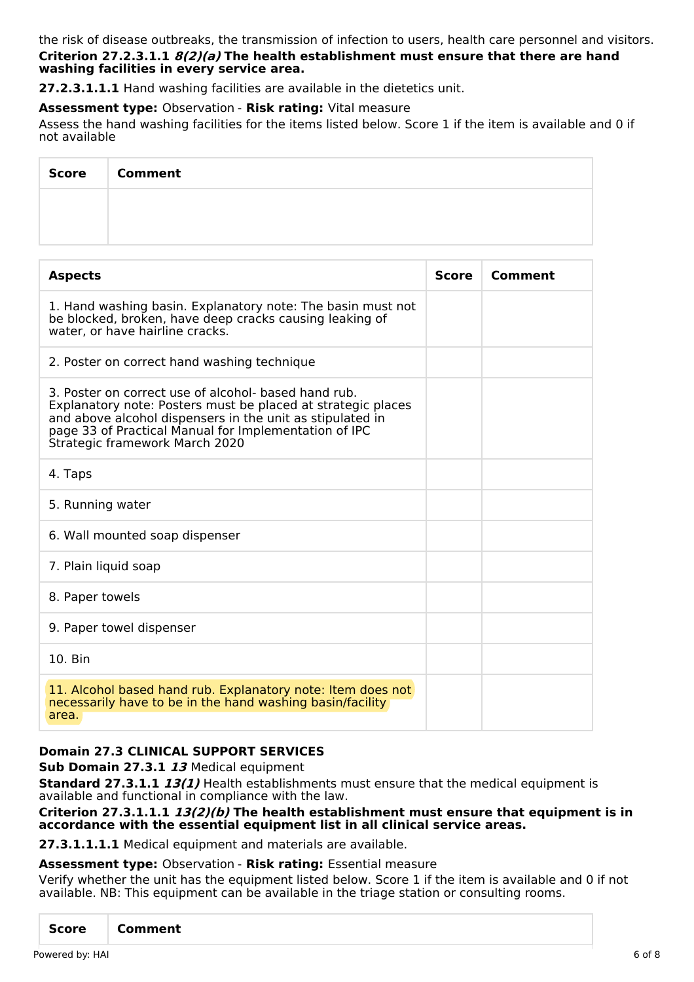the risk of disease outbreaks, the transmission of infection to users, health care personnel and visitors. **Criterion 27.2.3.1.1 8(2)(a) The health establishment must ensure that there are hand washing facilities in every service area.**

**27.2.3.1.1.1** Hand washing facilities are available in the dietetics unit.

**Assessment type:** Observation - **Risk rating:** Vital measure

Assess the hand washing facilities for the items listed below. Score 1 if the item is available and 0 if not available

| <b>Score</b> | <b>Comment</b> |
|--------------|----------------|
|              |                |
|              |                |

| <b>Aspects</b>                                                                                                                                                                                                                                                               | <b>Score</b> | Comment |
|------------------------------------------------------------------------------------------------------------------------------------------------------------------------------------------------------------------------------------------------------------------------------|--------------|---------|
| 1. Hand washing basin. Explanatory note: The basin must not<br>be blocked, broken, have deep cracks causing leaking of<br>water, or have hairline cracks.                                                                                                                    |              |         |
| 2. Poster on correct hand washing technique                                                                                                                                                                                                                                  |              |         |
| 3. Poster on correct use of alcohol- based hand rub.<br>Explanatory note: Posters must be placed at strategic places<br>and above alcohol dispensers in the unit as stipulated in<br>page 33 of Practical Manual for Implementation of IPC<br>Strategic framework March 2020 |              |         |
| 4. Taps                                                                                                                                                                                                                                                                      |              |         |
| 5. Running water                                                                                                                                                                                                                                                             |              |         |
| 6. Wall mounted soap dispenser                                                                                                                                                                                                                                               |              |         |
| 7. Plain liquid soap                                                                                                                                                                                                                                                         |              |         |
| 8. Paper towels                                                                                                                                                                                                                                                              |              |         |
| 9. Paper towel dispenser                                                                                                                                                                                                                                                     |              |         |
| 10. Bin                                                                                                                                                                                                                                                                      |              |         |
| 11. Alcohol based hand rub. Explanatory note: Item does not<br>necessarily have to be in the hand washing basin/facility<br>area.                                                                                                                                            |              |         |

# **Domain 27.3 CLINICAL SUPPORT SERVICES**

**Sub Domain 27.3.1 13** Medical equipment

**Standard 27.3.1.1 13(1)** Health establishments must ensure that the medical equipment is available and functional in compliance with the law.

#### **Criterion 27.3.1.1.1 13(2)(b) The health establishment must ensure that equipment is in accordance with the essential equipment list in all clinical service areas.**

**27.3.1.1.1.1** Medical equipment and materials are available.

#### **Assessment type:** Observation - **Risk rating:** Essential measure

Verify whether the unit has the equipment listed below. Score 1 if the item is available and 0 if not available. NB: This equipment can be available in the triage station or consulting rooms.

| <b>Score</b><br>Comment |
|-------------------------|
|-------------------------|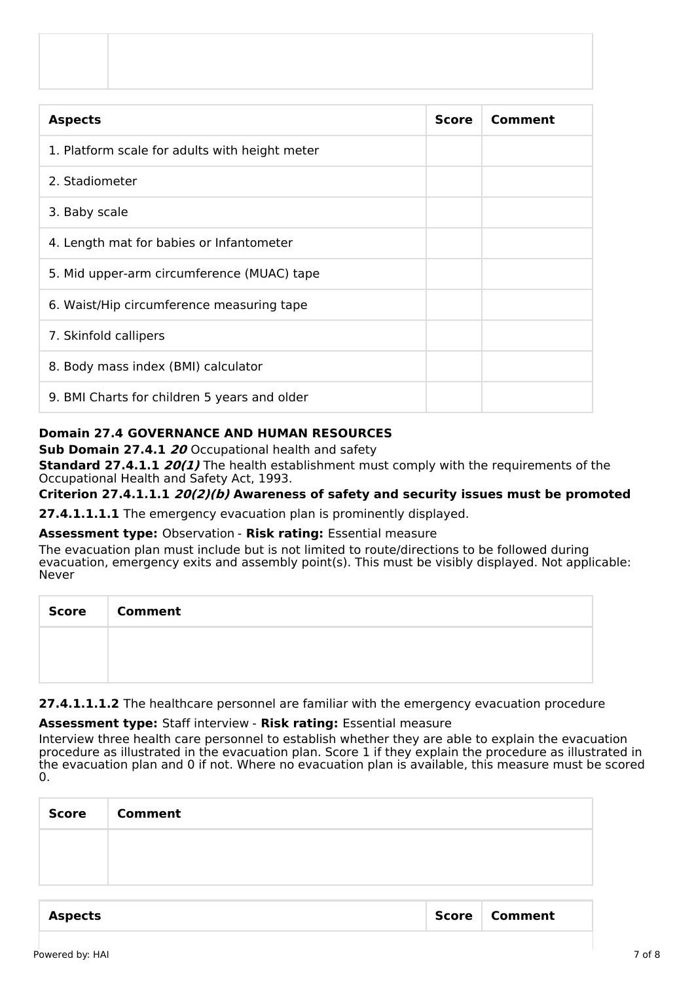| <b>Score</b> | Comment |
|--------------|---------|
|              |         |
|              |         |
|              |         |
|              |         |
|              |         |
|              |         |
|              |         |
|              |         |
|              |         |
|              |         |

# **Domain 27.4 GOVERNANCE AND HUMAN RESOURCES**

**Sub Domain 27.4.1 20** Occupational health and safety

**Standard 27.4.1.1** *20(1)* The health establishment must comply with the requirements of the Occupational Health and Safety Act, 1993.

**Criterion 27.4.1.1.1 20(2)(b) Awareness of safety and security issues must be promoted**

**27.4.1.1.1.1** The emergency evacuation plan is prominently displayed.

**Assessment type:** Observation - **Risk rating:** Essential measure

The evacuation plan must include but is not limited to route/directions to be followed during evacuation, emergency exits and assembly point(s). This must be visibly displayed. Not applicable: Never

| Score | <b>Comment</b> |
|-------|----------------|
|       |                |
|       |                |

**27.4.1.1.1.2** The healthcare personnel are familiar with the emergency evacuation procedure

**Assessment type:** Staff interview - **Risk rating:** Essential measure

Interview three health care personnel to establish whether they are able to explain the evacuation procedure as illustrated in the evacuation plan. Score 1 if they explain the procedure as illustrated in the evacuation plan and 0 if not. Where no evacuation plan is available, this measure must be scored  $\Omega$ .

| <b>Score</b> | <b>Comment</b> |
|--------------|----------------|
|              |                |
|              |                |

|  | <b>Aspects</b> | Score | Comment |
|--|----------------|-------|---------|
|--|----------------|-------|---------|